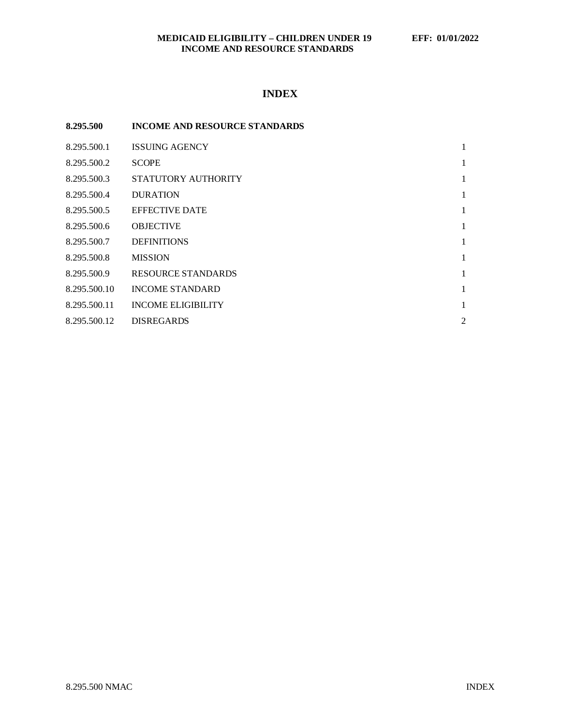## **MEDICAID ELIGIBILITY – CHILDREN UNDER 19 EFF: 01/01/2022 INCOME AND RESOURCE STANDARDS**

# **INDEX**

| 8.295.500    | <b>INCOME AND RESOURCE STANDARDS</b> |                |
|--------------|--------------------------------------|----------------|
| 8.295.500.1  | <b>ISSUING AGENCY</b>                | 1              |
| 8.295.500.2  | <b>SCOPE</b>                         | 1              |
| 8.295.500.3  | STATUTORY AUTHORITY                  | 1              |
| 8.295.500.4  | <b>DURATION</b>                      | 1              |
| 8.295.500.5  | <b>EFFECTIVE DATE</b>                | 1              |
| 8.295.500.6  | <b>OBJECTIVE</b>                     | 1              |
| 8.295.500.7  | <b>DEFINITIONS</b>                   | 1              |
| 8.295.500.8  | <b>MISSION</b>                       | 1              |
| 8.295.500.9  | RESOURCE STANDARDS                   | 1              |
| 8.295.500.10 | <b>INCOME STANDARD</b>               | 1              |
| 8.295.500.11 | <b>INCOME ELIGIBILITY</b>            | 1              |
| 8.295.500.12 | <b>DISREGARDS</b>                    | $\overline{2}$ |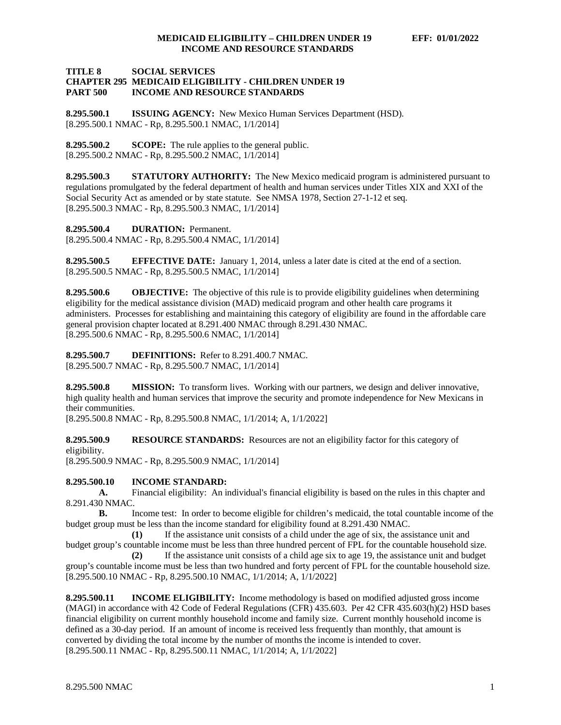### **TITLE 8 SOCIAL SERVICES CHAPTER 295 MEDICAID ELIGIBILITY - CHILDREN UNDER 19 INCOME AND RESOURCE STANDARDS**

<span id="page-1-0"></span>**8.295.500.1 ISSUING AGENCY:** New Mexico Human Services Department (HSD). [8.295.500.1 NMAC - Rp, 8.295.500.1 NMAC, 1/1/2014]

<span id="page-1-1"></span>**8.295.500.2 SCOPE:** The rule applies to the general public. [8.295.500.2 NMAC - Rp, 8.295.500.2 NMAC, 1/1/2014]

<span id="page-1-2"></span>**8.295.500.3 STATUTORY AUTHORITY:** The New Mexico medicaid program is administered pursuant to regulations promulgated by the federal department of health and human services under Titles XIX and XXI of the Social Security Act as amended or by state statute. See NMSA 1978, Section 27-1-12 et seq. [8.295.500.3 NMAC - Rp, 8.295.500.3 NMAC, 1/1/2014]

<span id="page-1-3"></span>**8.295.500.4 DURATION:** Permanent.

[8.295.500.4 NMAC - Rp, 8.295.500.4 NMAC, 1/1/2014]

<span id="page-1-4"></span>**8.295.500.5 EFFECTIVE DATE:** January 1, 2014, unless a later date is cited at the end of a section. [8.295.500.5 NMAC - Rp, 8.295.500.5 NMAC, 1/1/2014]

<span id="page-1-5"></span>**8.295.500.6 OBJECTIVE:** The objective of this rule is to provide eligibility guidelines when determining eligibility for the medical assistance division (MAD) medicaid program and other health care programs it administers. Processes for establishing and maintaining this category of eligibility are found in the affordable care general provision chapter located at 8.291.400 NMAC through 8.291.430 NMAC. [8.295.500.6 NMAC - Rp, 8.295.500.6 NMAC, 1/1/2014]

<span id="page-1-6"></span>**8.295.500.7 DEFINITIONS:** Refer to 8.291.400.7 NMAC. [8.295.500.7 NMAC - Rp, 8.295.500.7 NMAC, 1/1/2014]

<span id="page-1-7"></span>**8.295.500.8 MISSION:** To transform lives. Working with our partners, we design and deliver innovative, high quality health and human services that improve the security and promote independence for New Mexicans in their communities.

[8.295.500.8 NMAC - Rp, 8.295.500.8 NMAC, 1/1/2014; A, 1/1/2022]

<span id="page-1-8"></span>**8.295.500.9 RESOURCE STANDARDS:** Resources are not an eligibility factor for this category of eligibility.

[8.295.500.9 NMAC - Rp, 8.295.500.9 NMAC, 1/1/2014]

<span id="page-1-9"></span>**8.295.500.10 INCOME STANDARD:**

**A.** Financial eligibility: An individual's financial eligibility is based on the rules in this chapter and 8.291.430 NMAC.

**B.** Income test: In order to become eligible for children's medicaid, the total countable income of the budget group must be less than the income standard for eligibility found at 8.291.430 NMAC.

**(1)** If the assistance unit consists of a child under the age of six, the assistance unit and budget group's countable income must be less than three hundred percent of FPL for the countable household size.

**(2)** If the assistance unit consists of a child age six to age 19, the assistance unit and budget group's countable income must be less than two hundred and forty percent of FPL for the countable household size. [8.295.500.10 NMAC - Rp, 8.295.500.10 NMAC, 1/1/2014; A, 1/1/2022]

<span id="page-1-10"></span>**8.295.500.11 INCOME ELIGIBILITY:** Income methodology is based on modified adjusted gross income (MAGI) in accordance with 42 Code of Federal Regulations (CFR) 435.603. Per 42 CFR 435.603(h)(2) HSD bases financial eligibility on current monthly household income and family size. Current monthly household income is defined as a 30-day period. If an amount of income is received less frequently than monthly, that amount is converted by dividing the total income by the number of months the income is intended to cover. [8.295.500.11 NMAC - Rp, 8.295.500.11 NMAC, 1/1/2014; A, 1/1/2022]